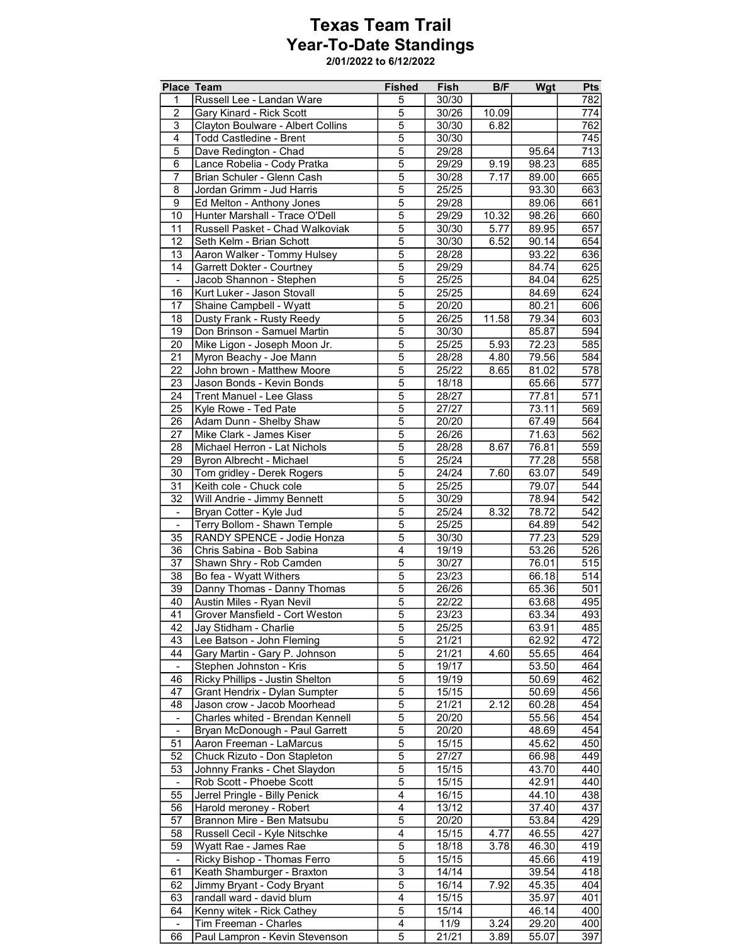## Texas Team Trail Year-To-Date Standings

2/01/2022 to 6/12/2022

|                          | Place Team                        | <b>Fished</b>           | Fish  | B/F   | Wgt                | <b>Pts</b>       |
|--------------------------|-----------------------------------|-------------------------|-------|-------|--------------------|------------------|
| $\mathbf{1}$             | Russell Lee - Landan Ware         | 5                       | 30/30 |       |                    | 782              |
| $\overline{2}$           | Gary Kinard - Rick Scott          | 5                       | 30/26 | 10.09 |                    | 774              |
| 3                        | Clayton Boulware - Albert Collins | $\overline{5}$          | 30/30 | 6.82  |                    | 762              |
| $\overline{4}$           | <b>Todd Castledine - Brent</b>    | $\overline{5}$          | 30/30 |       |                    | $\overline{745}$ |
| $\overline{5}$           | Dave Redington - Chad             | $\overline{5}$          | 29/28 |       | 95.64              | $\overline{713}$ |
| 6                        | Lance Robelia - Cody Pratka       | $\overline{5}$          | 29/29 | 9.19  | 98.23              | 685              |
| $\overline{7}$           | Brian Schuler - Glenn Cash        | $\overline{5}$          | 30/28 | 7.17  | 89.00              | 665              |
| 8                        | Jordan Grimm - Jud Harris         | $\overline{5}$          | 25/25 |       | 93.30              | 663              |
| 9                        | Ed Melton - Anthony Jones         | $\overline{5}$          | 29/28 |       | 89.06              | 661              |
| 10                       | Hunter Marshall - Trace O'Dell    | $\overline{5}$          | 29/29 | 10.32 | 98.26              | 660              |
| 11                       | Russell Pasket - Chad Walkoviak   | $\overline{5}$          | 30/30 | 5.77  | 89.95              | 657              |
| 12                       | Seth Kelm - Brian Schott          | $\overline{5}$          | 30/30 | 6.52  | 90.14              | 654              |
| 13                       | Aaron Walker - Tommy Hulsey       | $\overline{5}$          | 28/28 |       | 93.22              | 636              |
| 14                       | Garrett Dokter - Courtney         | $\overline{5}$          | 29/29 |       | 84.74              | 625              |
|                          | Jacob Shannon - Stephen           | $\overline{5}$          | 25/25 |       | 84.04              | 625              |
| 16                       | Kurt Luker - Jason Stovall        | $\overline{5}$          | 25/25 |       | 84.69              | 624              |
| 17                       | Shaine Campbell - Wyatt           | $\overline{5}$          | 20/20 |       | 80.21              | 606              |
| 18                       | Dusty Frank - Rusty Reedy         | $\overline{5}$          | 26/25 | 11.58 | 79.34              | 603              |
| $\overline{19}$          | Don Brinson - Samuel Martin       | $\overline{5}$          | 30/30 |       | 85.87              | 594              |
| 20                       | Mike Ligon - Joseph Moon Jr.      | $\overline{5}$          | 25/25 | 5.93  | 72.23              | 585              |
| 21                       | Myron Beachy - Joe Mann           | $\overline{5}$          | 28/28 | 4.80  | 79.56              | 584              |
| $\overline{22}$          | John brown - Matthew Moore        | $\overline{5}$          | 25/22 | 8.65  | 81.02              | 578              |
| 23                       | Jason Bonds - Kevin Bonds         | $\overline{5}$          | 18/18 |       | 65.66              | 577              |
| 24                       | <b>Trent Manuel - Lee Glass</b>   | $\overline{5}$          | 28/27 |       | 77.81              | 571              |
| 25                       | Kyle Rowe - Ted Pate              | $\overline{5}$          | 27/27 |       | 73.11              | 569              |
| 26                       | Adam Dunn - Shelby Shaw           | $\overline{5}$          | 20/20 |       | 67.49              | 564              |
| $\overline{27}$          | Mike Clark - James Kiser          | $\overline{5}$          | 26/26 |       | 71.63              | 562              |
| 28                       | Michael Herron - Lat Nichols      | $\overline{5}$          | 28/28 | 8.67  | 76.81              | 559              |
| 29                       | Byron Albrecht - Michael          | $\overline{5}$          | 25/24 |       | 77.28              | 558              |
| 30                       | Tom gridley - Derek Rogers        | $\overline{5}$          | 24/24 | 7.60  | 63.07              | 549              |
| 31                       | Keith cole - Chuck cole           | $\overline{5}$          | 25/25 |       | 79.07              | 544              |
| $\overline{32}$          | Will Andrie - Jimmy Bennett       | $\overline{5}$          | 30/29 |       | 78.94              | 542              |
| $\overline{\phantom{a}}$ | Bryan Cotter - Kyle Jud           | $\overline{5}$          | 25/24 | 8.32  | 78.72              | 542              |
| $\overline{\phantom{a}}$ | Terry Bollom - Shawn Temple       | $\overline{5}$          | 25/25 |       | 64.89              | $\overline{542}$ |
| 35                       | RANDY SPENCE - Jodie Honza        | $\overline{5}$          | 30/30 |       | 77.23              | 529              |
| 36                       | Chris Sabina - Bob Sabina         | $\overline{\mathbf{4}}$ | 19/19 |       | 53.26              | 526              |
| 37                       | Shawn Shry - Rob Camden           | $\overline{5}$          | 30/27 |       | 76.01              | 515              |
| 38                       | Bo fea - Wyatt Withers            | $\overline{5}$          | 23/23 |       | 66.18              | 514              |
| $\overline{39}$          | Danny Thomas - Danny Thomas       | $\overline{5}$          | 26/26 |       | 65.36              | 501              |
| 40                       | Austin Miles - Ryan Nevil         | $\overline{5}$          | 22/22 |       | 63.68              | 495              |
| 41                       | Grover Mansfield - Cort Weston    | 5                       | 23/23 |       | 63.34              | 493              |
| 42                       | Jay Stidham - Charlie             | 5                       | 25/25 |       | 63.91              | 485              |
| 43                       | Lee Batson - John Fleming         | 5                       | 21/21 |       | 62.92              | $\overline{472}$ |
| 44                       | Gary Martin - Gary P. Johnson     | $\overline{5}$          | 21/21 | 4.60  | 55.65              | 464              |
| $\blacksquare$           | Stephen Johnston - Kris           | $\overline{5}$          | 19/17 |       | 53.50              | 464              |
| 46                       | Ricky Phillips - Justin Shelton   | $\overline{5}$          | 19/19 |       | 50.69              | 462              |
| 47                       | Grant Hendrix - Dylan Sumpter     | $\overline{5}$          | 15/15 |       | 50.69              | 456              |
| 48                       | Jason crow - Jacob Moorhead       | $\overline{5}$          | 21/21 | 2.12  | 60.28              | 454              |
| $\overline{\phantom{a}}$ | Charles whited - Brendan Kennell  | $\overline{5}$          | 20/20 |       | 55.56              | 454              |
| $\overline{\phantom{a}}$ | Bryan McDonough - Paul Garrett    | $\overline{5}$          | 20/20 |       | 48.69              | 454              |
| 51                       | Aaron Freeman - LaMarcus          | $\overline{5}$          | 15/15 |       | 45.62              | 450              |
| 52                       | Chuck Rizuto - Don Stapleton      | 5                       | 27/27 |       | 66.98              | 449              |
| 53                       | Johnny Franks - Chet Slaydon      | $\overline{5}$          | 15/15 |       | 43.70              | 440              |
| $\overline{\phantom{a}}$ | Rob Scott - Phoebe Scott          | $\overline{5}$          | 15/15 |       | 42.91              | 440              |
| 55                       | Jerrel Pringle - Billy Penick     | 4                       | 16/15 |       | 44.10              | 438              |
| 56                       | Harold meroney - Robert           | $\overline{4}$          | 13/12 |       | 37.40              | 437              |
| 57                       | Brannon Mire - Ben Matsubu        | 5                       | 20/20 |       | 53.84              | 429              |
| 58                       | Russell Cecil - Kyle Nitschke     | 4                       | 15/15 | 4.77  | 46.55              | 427              |
| 59                       | Wyatt Rae - James Rae             | $\overline{5}$          | 18/18 | 3.78  | 46.30              | 419              |
| $\blacksquare$           | Ricky Bishop - Thomas Ferro       | $\overline{5}$          | 15/15 |       | 45.66              | 419              |
| 61                       | Keath Shamburger - Braxton        | $\overline{3}$          | 14/14 |       | 39.54              | 418              |
| 62                       | Jimmy Bryant - Cody Bryant        | $\overline{5}$          | 16/14 | 7.92  | 45.35              | 404              |
| 63                       | randall ward - david blum         | 4                       | 15/15 |       | 35.97              | 401              |
| 64                       | Kenny witek - Rick Cathey         | $\overline{5}$          | 15/14 |       | $\overline{46.14}$ | 400              |
|                          | Tim Freeman - Charles             | $\overline{4}$          | 11/9  | 3.24  | 29.20              | 400              |
| 66                       | Paul Lampron - Kevin Stevenson    | $\overline{5}$          | 21/21 | 3.89  | 55.07              | 397              |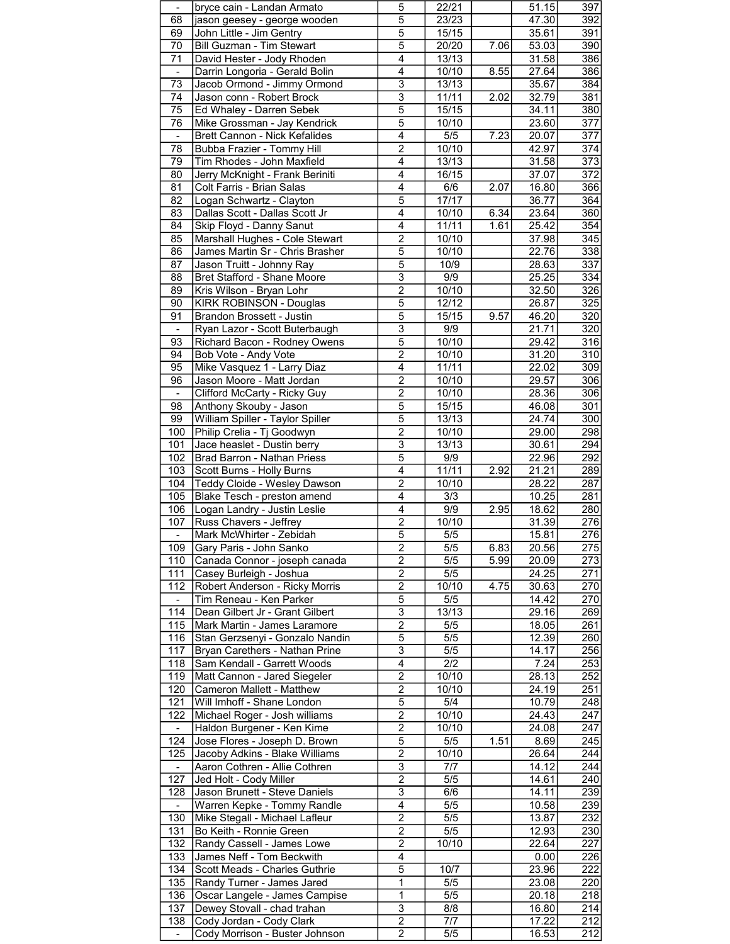| $\overline{\phantom{a}}$ | bryce cain - Landan Armato                                 | 5                                | 22/21            |      | 51.15              | 397                     |
|--------------------------|------------------------------------------------------------|----------------------------------|------------------|------|--------------------|-------------------------|
|                          | jason geesey - george wooden                               | $\overline{5}$                   |                  |      | 47.30              | 392                     |
| 68                       |                                                            |                                  | 23/23            |      |                    |                         |
| 69                       | John Little - Jim Gentry                                   | $\overline{5}$                   | 15/15            |      | 35.61              | 391                     |
| 70                       | Bill Guzman - Tim Stewart                                  | $\overline{5}$                   | 20/20            | 7.06 | 53.03              | 390                     |
| 71                       | David Hester - Jody Rhoden                                 | $\overline{\mathbf{4}}$          | 13/13            |      | 31.58              | 386                     |
|                          | Darrin Longoria - Gerald Bolin                             | $\overline{4}$                   | 10/10            | 8.55 | 27.64              | 386                     |
| $\overline{\phantom{a}}$ |                                                            |                                  |                  |      |                    |                         |
| $\overline{73}$          | Jacob Ormond - Jimmy Ormond                                | $\overline{3}$                   | 13/13            |      | 35.67              | 384                     |
| 74                       | Jason conn - Robert Brock                                  | $\overline{3}$                   | 11/11            | 2.02 | 32.79              | 381                     |
| 75                       | Ed Whaley - Darren Sebek                                   | $\overline{5}$                   | 15/15            |      | 34.11              | 380                     |
| 76                       |                                                            | $\overline{5}$                   |                  |      | 23.60              | 377                     |
|                          | Mike Grossman - Jay Kendrick                               |                                  | 10/10            |      |                    |                         |
| $\blacksquare$           | Brett Cannon - Nick Kefalides                              | $\overline{4}$                   | $\overline{5/5}$ | 7.23 | 20.07              | 377                     |
| 78                       | Bubba Frazier - Tommy Hill                                 | $\overline{2}$                   | 10/10            |      | 42.97              | 374                     |
| 79                       | Tim Rhodes - John Maxfield                                 | $\overline{4}$                   | 13/13            |      | 31.58              | 373                     |
| 80                       | Jerry McKnight - Frank Beriniti                            | 4                                | 16/15            |      | 37.07              | 372                     |
|                          |                                                            |                                  |                  |      |                    |                         |
| 81                       | Colt Farris - Brian Salas                                  | 4                                | 6/6              | 2.07 | 16.80              | 366                     |
| 82                       | Logan Schwartz - Clayton                                   | $\overline{5}$                   | 17/17            |      | 36.77              | 364                     |
| 83                       | Dallas Scott - Dallas Scott Jr                             | 4                                | 10/10            | 6.34 | 23.64              | 360                     |
| 84                       | Skip Floyd - Danny Sanut                                   | $\overline{\mathbf{4}}$          | 11/11            | 1.61 | 25.42              | 354                     |
|                          |                                                            |                                  |                  |      |                    |                         |
| 85                       | Marshall Hughes - Cole Stewart                             | 2                                | 10/10            |      | 37.98              | 345                     |
| 86                       | James Martin Sr - Chris Brasher                            | $\overline{5}$                   | 10/10            |      | 22.76              | 338                     |
| $\overline{87}$          | Jason Truitt - Johnny Ray                                  | $\overline{5}$                   | 10/9             |      | 28.63              | 337                     |
| 88                       | Bret Stafford - Shane Moore                                | $\overline{3}$                   | 9/9              |      | 25.25              | 334                     |
|                          |                                                            |                                  |                  |      |                    |                         |
| 89                       | Kris Wilson - Bryan Lohr                                   | $\overline{2}$                   | 10/10            |      | 32.50              | 326                     |
| 90                       | KIRK ROBINSON - Douglas                                    | 5                                | 12/12            |      | 26.87              | 325                     |
| 91                       | Brandon Brossett - Justin                                  | $\overline{5}$                   | 15/15            | 9.57 | 46.20              | 320                     |
| $\overline{\phantom{a}}$ | Ryan Lazor - Scott Buterbaugh                              | $\overline{\overline{3}}$        | $\overline{9/9}$ |      | 21.71              | 320                     |
|                          |                                                            |                                  |                  |      |                    |                         |
| 93                       | Richard Bacon - Rodney Owens                               | $\overline{5}$                   | 10/10            |      | 29.42              | 316                     |
| 94                       | Bob Vote - Andy Vote                                       | $\overline{2}$                   | 10/10            |      | 31.20              | 310                     |
| 95                       | Mike Vasquez 1 - Larry Diaz                                | 4                                | 11/11            |      | 22.02              | 309                     |
| 96                       |                                                            | $\overline{c}$                   |                  |      |                    |                         |
|                          | Jason Moore - Matt Jordan                                  |                                  | 10/10            |      | 29.57              | 306                     |
| $\blacksquare$           | Clifford McCarty - Ricky Guy                               | $\overline{2}$                   | 10/10            |      | 28.36              | 306                     |
| 98                       | Anthony Skouby - Jason                                     | $\overline{5}$                   | 15/15            |      | 46.08              | 301                     |
| 99                       | William Spiller - Taylor Spiller                           | $\overline{5}$                   | 13/13            |      | 24.74              | 300                     |
| 100                      | Philip Crelia - Tj Goodwyn                                 | $\overline{2}$                   | 10/10            |      | 29.00              | 298                     |
|                          |                                                            |                                  |                  |      |                    |                         |
| 101                      | Jace heaslet - Dustin berry                                | $\overline{3}$                   | 13/13            |      | 30.61              | 294                     |
| 102                      | Brad Barron - Nathan Priess                                | $\overline{5}$                   | 9/9              |      | 22.96              | 292                     |
| 103                      | Scott Burns - Holly Burns                                  | $\overline{\mathbf{4}}$          | 11/11            | 2.92 | 21.21              | 289                     |
| 104                      | Teddy Cloide - Wesley Dawson                               | $\overline{2}$                   | 10/10            |      | 28.22              | 287                     |
|                          |                                                            |                                  |                  |      |                    |                         |
| 105                      | Blake Tesch - preston amend                                | 4                                | 3/3              |      | 10.25              | 281                     |
| 106                      | Logan Landry - Justin Leslie                               | $\overline{4}$                   | 9/9              | 2.95 | 18.62              | 280                     |
| 107                      | Russ Chavers - Jeffrey                                     | $\overline{2}$                   | 10/10            |      | 31.39              | 276                     |
|                          | Mark McWhirter - Zebidah                                   | $\overline{5}$                   | 5/5              |      | 15.81              | 276                     |
|                          |                                                            |                                  |                  |      |                    |                         |
| 109                      | Gary Paris - John Sanko                                    | $\overline{2}$                   | 5/5              | 6.83 | $\overline{20.56}$ | 275                     |
| 110                      | Canada Connor - joseph canada                              | 2                                | 5/5              | 5.99 | 20.09              | 273                     |
| 111                      | Casey Burleigh - Joshua                                    | $\overline{c}$                   | 5/5              |      | 24.25              | 271                     |
| 112                      | Robert Anderson - Ricky Morris                             | $\overline{2}$                   |                  |      |                    |                         |
|                          |                                                            |                                  |                  |      |                    |                         |
|                          |                                                            |                                  | 10/10            | 4.75 | 30.63              | 270                     |
|                          | Tim Reneau - Ken Parker                                    | $\overline{5}$                   | $\overline{5/5}$ |      | 14.42              | 270                     |
| 114                      | Dean Gilbert Jr - Grant Gilbert                            | $\overline{3}$                   | 13/13            |      | 29.16              | 269                     |
|                          |                                                            |                                  |                  |      |                    |                         |
| 115                      | Mark Martin - James Laramore                               | $\overline{2}$                   | 5/5              |      | 18.05              | 261                     |
| 116                      | Stan Gerzsenyi - Gonzalo Nandin                            | 5                                | 5/5              |      | 12.39              | 260                     |
| 117                      | Bryan Carethers - Nathan Prine                             | $\overline{3}$                   | $\overline{5/5}$ |      | 14.17              | 256                     |
| 118                      | Sam Kendall - Garrett Woods                                | 4                                | 2/2              |      | 7.24               | 253                     |
|                          |                                                            |                                  |                  |      |                    |                         |
| 119                      | Matt Cannon - Jared Siegeler                               | $\overline{2}$                   | 10/10            |      | 28.13              | 252                     |
| 120                      | Cameron Mallett - Matthew                                  | 2                                | 10/10            |      | 24.19              | 251                     |
| 121                      | Will Imhoff - Shane London                                 | $\sqrt{5}$                       | 5/4              |      | 10.79              | 248                     |
| 122                      | Michael Roger - Josh williams                              | $\overline{2}$                   | 10/10            |      | 24.43              | 247                     |
|                          |                                                            |                                  |                  |      |                    |                         |
|                          | Haldon Burgener - Ken Kime                                 | $\overline{2}$                   | 10/10            |      | $\overline{2}4.08$ | 247                     |
| 124                      | Jose Flores - Joseph D. Brown                              | $\overline{5}$                   | 5/5              | 1.51 | 8.69               | 245                     |
| 125                      | Jacoby Adkins - Blake Williams                             | 2                                | 10/10            |      | 26.64              | 244                     |
| $\blacksquare$           | Aaron Cothren - Allie Cothren                              | 3                                | 7/7              |      | 14.12              | 244                     |
| 127                      |                                                            | $\overline{2}$                   |                  |      |                    | 240                     |
|                          | Jed Holt - Cody Miller                                     |                                  | $\overline{5/5}$ |      | 14.61              |                         |
| 128                      | Jason Brunett - Steve Daniels                              | $\overline{3}$                   | 6/6              |      | 14.11              | 239                     |
| $\blacksquare$           | Warren Kepke - Tommy Randle                                | $\overline{4}$                   | 5/5              |      | $\overline{10.58}$ | 239                     |
| 130                      | Mike Stegall - Michael Lafleur                             | 2                                | 5/5              |      | 13.87              |                         |
|                          |                                                            |                                  |                  |      |                    |                         |
| 131                      | Bo Keith - Ronnie Green                                    | $\overline{c}$                   | 5/5              |      | 12.93              |                         |
| 132                      | Randy Cassell - James Lowe                                 | $\overline{2}$                   | 10/10            |      | 22.64              | 227                     |
| 133                      | James Neff - Tom Beckwith                                  | $\overline{4}$                   |                  |      | 0.00               | 226                     |
| 134                      | Scott Meads - Charles Guthrie                              | $\overline{5}$                   | 10/7             |      | 23.96              | 222                     |
|                          |                                                            | $\mathbf{1}$                     |                  |      |                    |                         |
| 135                      | Randy Turner - James Jared                                 |                                  | 5/5              |      | 23.08              | 220                     |
| 136                      | Oscar Langele - James Campise                              | 1                                | 5/5              |      | 20.18              | 218                     |
| 137                      | Dewey Stovall - chad trahan                                | $\overline{\overline{3}}$        | 8/8              |      | 16.80              | 232<br>230<br>214       |
| 138                      | Cody Jordan - Cody Clark<br>Cody Morrison - Buster Johnson | $\overline{2}$<br>$\overline{2}$ | 7/7<br>5/5       |      | 17.22<br>16.53     | $\overline{212}$<br>212 |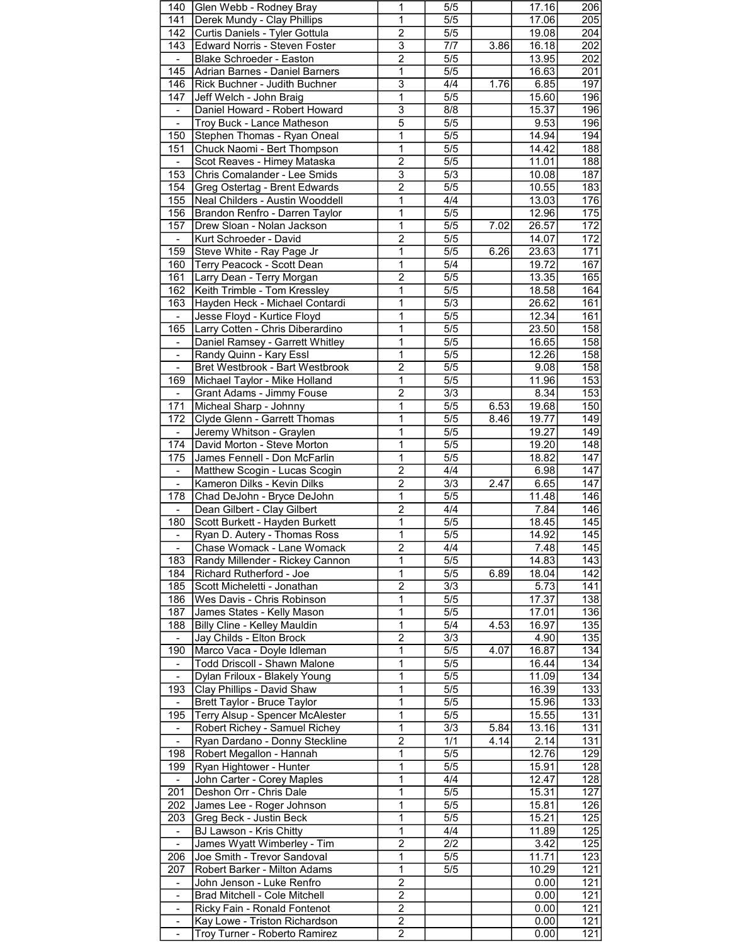| 140                          | Glen Webb - Rodney Bray                                        | 1                                | 5/5              |      | 17.16        | 206               |
|------------------------------|----------------------------------------------------------------|----------------------------------|------------------|------|--------------|-------------------|
| 141                          | Derek Mundy - Clay Phillips                                    | 1                                | $\overline{5/5}$ |      | 17.06        | 205               |
|                              |                                                                |                                  |                  |      |              |                   |
| 142                          | Curtis Daniels - Tyler Gottula                                 | $\overline{2}$                   | 5/5              |      | 19.08        | 204               |
| 143                          | Edward Norris - Steven Foster                                  | $\overline{3}$                   | 7/7              | 3.86 | 16.18        | 202               |
| $\blacksquare$               | <b>Blake Schroeder - Easton</b>                                | $\overline{\mathbf{c}}$          | 5/5              |      | 13.95        | 202               |
| 145                          | Adrian Barnes - Daniel Barners                                 | $\overline{1}$                   | $\overline{5/5}$ |      | 16.63        | 201               |
|                              |                                                                |                                  |                  |      |              |                   |
| 146                          | Rick Buchner - Judith Buchner                                  | $\overline{\overline{3}}$        | 4/4              | 1.76 | 6.85         | 197               |
| 147                          | Jeff Welch - John Braig                                        | $\mathbf{1}$                     | $\overline{5/5}$ |      | 15.60        | 196               |
| $\blacksquare$               | Daniel Howard - Robert Howard                                  | $\overline{3}$                   | 8/8              |      | 15.37        | 196               |
| $\qquad \qquad \blacksquare$ | Troy Buck - Lance Matheson                                     | 5                                | 5/5              |      | 9.53         | 196               |
|                              |                                                                |                                  |                  |      |              |                   |
| 150                          | Stephen Thomas - Ryan Oneal                                    | 1                                | $\overline{5/5}$ |      | 14.94        | 194               |
| 151                          | Chuck Naomi - Bert Thompson                                    | $\overline{1}$                   | $\overline{5/5}$ |      | 14.42        | 188               |
| $\blacksquare$               | Scot Reaves - Himey Mataska                                    | $\overline{2}$                   | $\overline{5/5}$ |      | 11.01        | 188               |
| 153                          | Chris Comalander - Lee Smids                                   | $\overline{3}$                   | 5/3              |      | 10.08        | 187               |
|                              |                                                                |                                  |                  |      |              |                   |
| 154                          | Greg Ostertag - Brent Edwards                                  | $\overline{\mathbf{c}}$          | 5/5              |      | 10.55        | 183               |
| 155                          | Neal Childers - Austin Wooddell                                | $\overline{1}$                   | 4/4              |      | 13.03        | 176               |
| 156                          | Brandon Renfro - Darren Taylor                                 | 1                                | $\overline{5/5}$ |      | 12.96        | 175               |
| 157                          | Drew Sloan - Nolan Jackson                                     | $\overline{1}$                   | 5/5              | 7.02 | 26.57        | 172               |
|                              |                                                                |                                  |                  |      |              |                   |
| $\blacksquare$               | Kurt Schroeder - David                                         | $\overline{2}$                   | 5/5              |      | 14.07        | 172               |
| 159                          | Steve White - Ray Page Jr                                      | 1                                | 5/5              | 6.26 | 23.63        | 171               |
| 160                          | Terry Peacock - Scott Dean                                     | $\overline{1}$                   | $\overline{5/4}$ |      | 19.72        | 167               |
| 161                          | Larry Dean - Terry Morgan                                      | $\overline{2}$                   | $\overline{5/5}$ |      | 13.35        | 165               |
|                              |                                                                |                                  |                  |      |              |                   |
| 162                          | Keith Trimble - Tom Kressley                                   | $\overline{1}$                   | $\overline{5/5}$ |      | 18.58        | 164               |
| 163                          | Hayden Heck - Michael Contardi                                 | 1                                | 5/3              |      | 26.62        | 161               |
| $\overline{\phantom{a}}$     | Jesse Floyd - Kurtice Floyd                                    | 1                                | 5/5              |      | 12.34        | 161               |
| 165                          | Larry Cotten - Chris Diberardino                               | $\overline{1}$                   | $\overline{5/5}$ |      | 23.50        | 158               |
|                              |                                                                |                                  |                  |      |              |                   |
|                              | Daniel Ramsey - Garrett Whitley                                | 1                                | $\overline{5/5}$ |      | 16.65        | 158               |
| $\qquad \qquad \blacksquare$ | Randy Quinn - Kary Essl                                        | $\mathbf{1}$                     | $\overline{5/5}$ |      | 12.26        | 158               |
| $\blacksquare$               | Bret Westbrook - Bart Westbrook                                | $\overline{2}$                   | 5/5              |      | 9.08         | 158               |
| 169                          | Michael Taylor - Mike Holland                                  | 1                                | 5/5              |      | 11.96        | 153               |
|                              |                                                                | $\overline{2}$                   |                  |      |              |                   |
| $\blacksquare$               | Grant Adams - Jimmy Fouse                                      |                                  | $\overline{3/3}$ |      | 8.34         | 153               |
| 171                          | Micheal Sharp - Johnny                                         | 1                                | $\overline{5/5}$ | 6.53 | 19.68        | 150               |
| 172                          | Clyde Glenn - Garrett Thomas                                   | 1                                | $\overline{5/5}$ | 8.46 | 19.77        | 149               |
| $\blacksquare$               | Jeremy Whitson - Graylen                                       | 1                                | 5/5              |      | 19.27        | 149               |
|                              |                                                                |                                  |                  |      |              |                   |
| 174                          | David Morton - Steve Morton                                    | 1                                | 5/5              |      | 19.20        | 148               |
| 175                          | James Fennell - Don McFarlin                                   | $\overline{1}$                   | $\overline{5/5}$ |      | 18.82        | 147               |
|                              | Matthew Scogin - Lucas Scogin                                  | $\overline{2}$                   | 4/4              |      | 6.98         | $\overline{147}$  |
| $\blacksquare$               | Kameron Dilks - Kevin Dilks                                    | $\overline{2}$                   | $\overline{3/3}$ | 2.47 | 6.65         | 147               |
|                              |                                                                |                                  |                  |      |              |                   |
| 178                          | Chad DeJohn - Bryce DeJohn                                     | 1                                | 5/5              |      | 11.48        | 146               |
|                              | Dean Gilbert - Clay Gilbert                                    | $\overline{c}$                   | 4/4              |      | 7.84         | $\overline{146}$  |
| 180                          | Scott Burkett - Hayden Burkett                                 | $\overline{1}$                   | 5/5              |      | 18.45        | $\overline{145}$  |
|                              | Ryan D. Autery - Thomas Ross                                   | $\overline{1}$                   | $\overline{5/5}$ |      | 14.92        | $\overline{145}$  |
|                              |                                                                | $\overline{2}$                   | 4/4              |      | 7.48         | 145               |
| $\overline{\phantom{a}}$     | Chase Womack - Lane Womack                                     |                                  |                  |      |              |                   |
| 183                          | Randy Millender - Rickey Cannon                                | 1                                | 5/5              |      | 14.83        | 143               |
| 184                          | Richard Rutherford - Joe                                       | 1                                | 5/5              | 6.89 | 18.04        | $\overline{1}$ 42 |
| 185                          | Scott Micheletti - Jonathan                                    | $\overline{2}$                   | $\overline{3/3}$ |      | 5.73         | 141               |
|                              |                                                                |                                  | $\overline{5/5}$ |      |              | 138               |
| 186                          | Wes Davis - Chris Robinson                                     | 1                                |                  |      | 17.37        |                   |
| 187                          | James States - Kelly Mason                                     | $\mathbf{1}$                     | 5/5              |      | 17.01        | 136               |
| 188                          | Billy Cline - Kelley Mauldin                                   | 1                                | 5/4              | 4.53 | 16.97        | 135               |
|                              | Jay Childs - Elton Brock                                       | 2                                | 3/3              |      | 4.90         | 135               |
| 190                          | Marco Vaca - Doyle Idleman                                     | 1                                | $\overline{5/5}$ | 4.07 | 16.87        | 134               |
|                              |                                                                |                                  |                  |      |              |                   |
|                              | <b>Todd Driscoll - Shawn Malone</b>                            | $\mathbf{1}$                     | 5/5              |      | 16.44        | 134               |
| $\blacksquare$               | Dylan Friloux - Blakely Young                                  | 1                                | 5/5              |      | 11.09        | 134               |
| 193                          | Clay Phillips - David Shaw                                     | 1                                | 5/5              |      | 16.39        | 133               |
|                              | Brett Taylor - Bruce Taylor                                    | 1                                | 5/5              |      | 15.96        | 133               |
|                              |                                                                |                                  |                  |      |              |                   |
| 195                          | Terry Alsup - Spencer McAlester                                | 1                                | $\overline{5/5}$ |      | 15.55        | 131               |
|                              | Robert Richey - Samuel Richey                                  | $\overline{1}$                   | 3/3              | 5.84 | 13.16        | 131               |
| $\blacksquare$               | Ryan Dardano - Donny Steckline                                 | $\overline{2}$                   | 1/1              | 4.14 | 2.14         | 131               |
| 198                          | Robert Megallon - Hannah                                       | 1                                | 5/5              |      | 12.76        | 129               |
|                              |                                                                |                                  |                  |      |              |                   |
| 199                          | Ryan Hightower - Hunter                                        | 1                                | 5/5              |      | 15.91        | 128               |
| $\blacksquare$               | John Carter - Corey Maples                                     | 1                                | 4/4              |      | 12.47        | 128               |
| 201                          | Deshon Orr - Chris Dale                                        | 1                                | $\overline{5/5}$ |      | 15.31        | 127               |
| 202                          | James Lee - Roger Johnson                                      | 1                                | 5/5              |      | 15.81        | 126               |
|                              | Greg Beck - Justin Beck                                        | 1                                | 5/5              |      | 15.21        | $\overline{125}$  |
| 203                          |                                                                |                                  |                  |      |              |                   |
| $\overline{\phantom{a}}$     | <b>BJ Lawson - Kris Chitty</b>                                 | 1                                | 4/4              |      | 11.89        | 125               |
| $\blacksquare$               |                                                                | $\overline{2}$                   | $\overline{2/2}$ |      | 3.42         | $\overline{125}$  |
|                              | James Wyatt Wimberley - Tim                                    |                                  |                  |      |              |                   |
|                              |                                                                |                                  |                  |      |              |                   |
| 206                          | Joe Smith - Trevor Sandoval                                    | $\overline{1}$                   | 5/5              |      | 11.71        |                   |
| 207                          | Robert Barker - Milton Adams                                   | $\mathbf{1}$                     | 5/5              |      | 10.29        |                   |
| $\blacksquare$               | John Jenson - Luke Renfro                                      | 2                                |                  |      | 0.00         | 123<br>121<br>121 |
|                              | Brad Mitchell - Cole Mitchell                                  | $\overline{\mathbf{c}}$          |                  |      | 0.00         | 121               |
|                              |                                                                |                                  |                  |      |              |                   |
|                              | Ricky Fain - Ronald Fontenot                                   | $\overline{2}$                   |                  |      | 0.00         | 121               |
| $\frac{1}{2}$                | Kay Lowe - Triston Richardson<br>Troy Turner - Roberto Ramirez | $\overline{c}$<br>$\overline{2}$ |                  |      | 0.00<br>0.00 | 121<br>121        |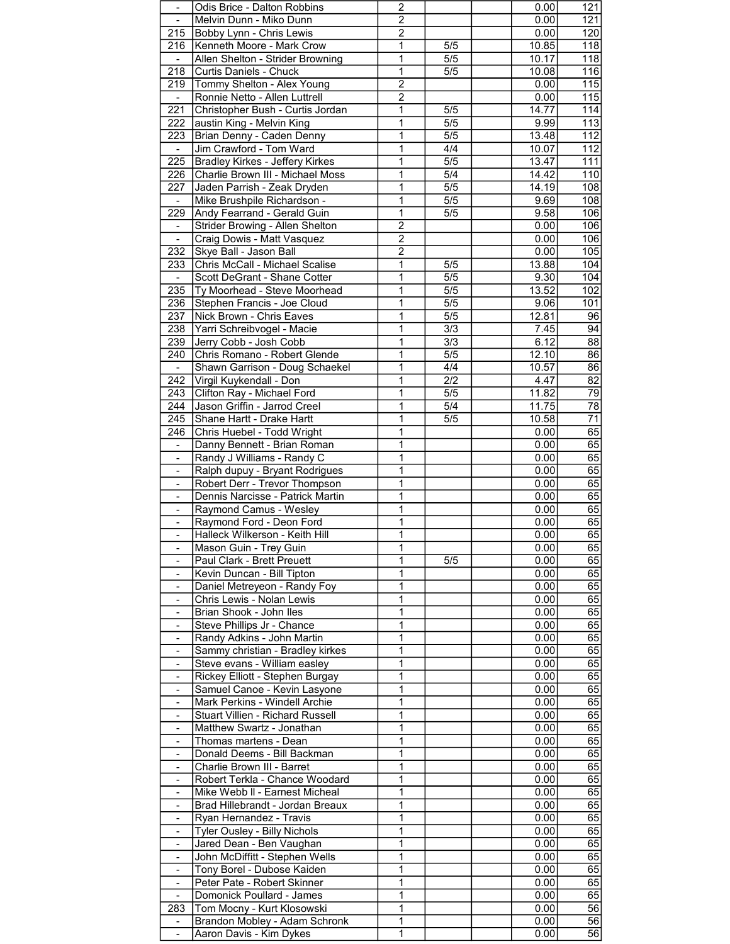| $\overline{\phantom{0}}$     | Odis Brice - Dalton Robbins      | $\overline{c}$ |                  | 0.00  | 121              |
|------------------------------|----------------------------------|----------------|------------------|-------|------------------|
|                              | Melvin Dunn - Miko Dunn          | $\overline{2}$ |                  | 0.00  | 121              |
| 215                          | Bobby Lynn - Chris Lewis         | $\overline{2}$ |                  | 0.00  | 120              |
| 216                          | Kenneth Moore - Mark Crow        | 1              | 5/5              | 10.85 | 118              |
|                              | Allen Shelton - Strider Browning | 1              | 5/5              | 10.17 | 118              |
| 218                          | Curtis Daniels - Chuck           | 1              | $\overline{5/5}$ | 10.08 | 116              |
| 219                          | Tommy Shelton - Alex Young       | $\overline{2}$ |                  | 0.00  | 115              |
| $\sim$                       | Ronnie Netto - Allen Luttrell    | $\overline{2}$ |                  | 0.00  | 115              |
| 221                          | Christopher Bush - Curtis Jordan | 1              | 5/5              | 14.77 | 114              |
| 222                          | austin King - Melvin King        | 1              | 5/5              | 9.99  | 113              |
| 223                          | Brian Denny - Caden Denny        | 1              | $\overline{5/5}$ | 13.48 | 112              |
|                              | Jim Crawford - Tom Ward          | 1              | 4/4              | 10.07 | $\overline{112}$ |
| 225                          | Bradley Kirkes - Jeffery Kirkes  | 1              | 5/5              | 13.47 | 111              |
| 226                          | Charlie Brown III - Michael Moss | 1              | 5/4              | 14.42 | 110              |
| 227                          | Jaden Parrish - Zeak Dryden      | 1              | 5/5              | 14.19 | 108              |
| $\blacksquare$               | Mike Brushpile Richardson -      | 1              | $\overline{5/5}$ | 9.69  | 108              |
| 229                          | Andy Fearrand - Gerald Guin      | 1              | $\overline{5/5}$ | 9.58  | $\overline{106}$ |
| $\blacksquare$               | Strider Browing - Allen Shelton  | $\overline{2}$ |                  | 0.00  | 106              |
| $\blacksquare$               | Craig Dowis - Matt Vasquez       | 2              |                  | 0.00  | 106              |
| 232                          | Skye Ball - Jason Ball           | $\overline{c}$ |                  | 0.00  | 105              |
| 233                          | Chris McCall - Michael Scalise   | 1              | 5/5              | 13.88 | 104              |
|                              | Scott DeGrant - Shane Cotter     | 1              | $\overline{5/5}$ | 9.30  | 104              |
| 235                          | Ty Moorhead - Steve Moorhead     | 1              | 5/5              | 13.52 | 102              |
| 236                          | Stephen Francis - Joe Cloud      | 1              | 5/5              | 9.06  | 101              |
| 237                          | Nick Brown - Chris Eaves         | 1              | 5/5              | 12.81 | 96               |
| 238                          | Yarri Schreibvogel - Macie       | 1              | $\overline{3/3}$ | 7.45  | $\overline{94}$  |
| 239                          | Jerry Cobb - Josh Cobb           | 1              | $\overline{3/3}$ | 6.12  | $\overline{88}$  |
| 240                          | Chris Romano - Robert Glende     | 1              | $\overline{5/5}$ | 12.10 | 86               |
| $\sim$                       | Shawn Garrison - Doug Schaekel   | 1              | 4/4              | 10.57 | 86               |
| 242                          | Virgil Kuykendall - Don          | 1              | 2/2              | 4.47  | 82               |
| 243                          | Clifton Ray - Michael Ford       | 1              | $\overline{5/5}$ | 11.82 | 79               |
| 244                          | Jason Griffin - Jarrod Creel     | 1              | $\overline{5/4}$ | 11.75 | 78               |
| 245                          | Shane Hartt - Drake Hartt        | 1              | 5/5              | 10.58 | $\overline{71}$  |
| 246                          | Chris Huebel - Todd Wright       | 1              |                  | 0.00  | 65               |
| $\qquad \qquad \blacksquare$ | Danny Bennett - Brian Roman      | 1              |                  | 0.00  | 65               |
|                              | Randy J Williams - Randy C       | 1              |                  | 0.00  | 65               |
|                              | Ralph dupuy - Bryant Rodrigues   | 1              |                  | 0.00  | 65               |
| $\qquad \qquad \blacksquare$ | Robert Derr - Trevor Thompson    | 1              |                  | 0.00  | 65               |
| ۰.                           | Dennis Narcisse - Patrick Martin | 1              |                  | 0.00  | 65               |
|                              | Raymond Camus - Wesley           | 1              |                  | 0.00  | 65               |
| $\overline{\phantom{0}}$     | Raymond Ford - Deon Ford         | $\overline{1}$ |                  | 0.00  | 65               |
|                              | Halleck Wilkerson - Keith Hill   | $\overline{1}$ |                  | 0.00  | $\overline{65}$  |
|                              | Mason Guin - Trey Guin           | 1              |                  | 0.00  | 65               |
| $\blacksquare$               | Paul Clark - Brett Preuett       | 1              | 5/5              | 0.00  | 65               |
|                              | Kevin Duncan - Bill Tipton       | 1              |                  | 0.00  | 65               |
|                              | Daniel Metreyeon - Randy Foy     | 1              |                  | 0.00  | 65               |
|                              | Chris Lewis - Nolan Lewis        | 1              |                  | 0.00  | 65               |
| $\qquad \qquad \blacksquare$ | Brian Shook - John Iles          | 1              |                  | 0.00  | 65               |
| $\blacksquare$               | Steve Phillips Jr - Chance       | 1              |                  | 0.00  | 65               |
|                              | Randy Adkins - John Martin       | 1              |                  | 0.00  | 65               |
|                              | Sammy christian - Bradley kirkes | 1              |                  | 0.00  | 65               |
|                              | Steve evans - William easley     | 1              |                  | 0.00  | 65               |
| $\blacksquare$               | Rickey Elliott - Stephen Burgay  | 1              |                  | 0.00  | 65               |
| $\blacksquare$               | Samuel Canoe - Kevin Lasyone     | 1              |                  | 0.00  | 65               |
|                              | Mark Perkins - Windell Archie    | 1              |                  | 0.00  | 65               |
|                              | Stuart Villien - Richard Russell | 1              |                  | 0.00  | 65               |
|                              | Matthew Swartz - Jonathan        | 1              |                  | 0.00  | 65               |
| $\qquad \qquad \blacksquare$ | Thomas martens - Dean            | 1              |                  | 0.00  | 65               |
| $\blacksquare$               | Donald Deems - Bill Backman      | 1              |                  | 0.00  | 65               |
|                              | Charlie Brown III - Barret       | 1              |                  | 0.00  | 65               |
|                              | Robert Terkla - Chance Woodard   | 1              |                  | 0.00  | 65               |
|                              | Mike Webb II - Earnest Micheal   | 1              |                  | 0.00  | 65               |
| $\qquad \qquad \blacksquare$ | Brad Hillebrandt - Jordan Breaux | 1              |                  | 0.00  | 65               |
| $\blacksquare$               | Ryan Hernandez - Travis          | 1              |                  | 0.00  | 65               |
|                              | Tyler Ousley - Billy Nichols     | 1              |                  | 0.00  | 65               |
|                              | Jared Dean - Ben Vaughan         | 1              |                  | 0.00  | 65               |
|                              | John McDiffitt - Stephen Wells   | 1              |                  | 0.00  | 65               |
| $\blacksquare$               | Tony Borel - Dubose Kaiden       | 1              |                  | 0.00  | 65               |
| ۰.                           | Peter Pate - Robert Skinner      | 1              |                  | 0.00  | 65               |
| $\qquad \qquad \blacksquare$ | Domonick Poullard - James        | 1              |                  | 0.00  | 65               |
| 283                          | Tom Mocny - Kurt Klosowski       | 1              |                  | 0.00  | 56               |
|                              | Brandon Mobley - Adam Schronk    | 1              |                  | 0.00  | 56               |
| $\blacksquare$               | Aaron Davis - Kim Dykes          | 1              |                  | 0.00  | 56               |